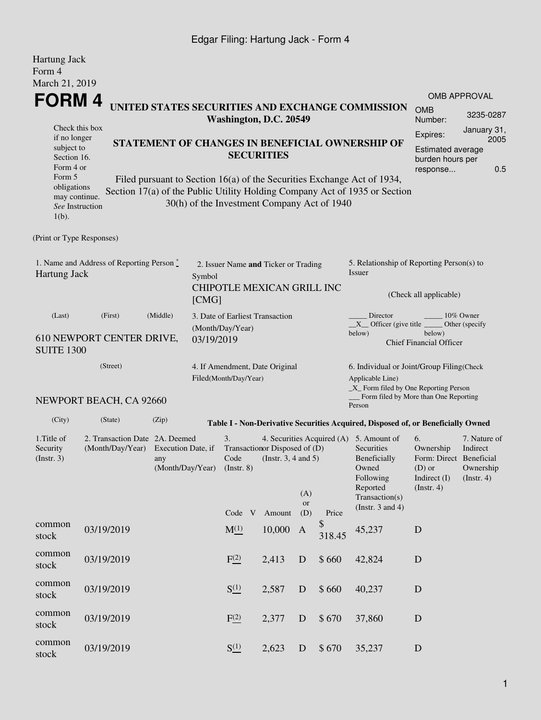### Edgar Filing: Hartung Jack - Form 4

| <b>Hartung Jack</b><br>Form 4<br>March 21, 2019                                                                                                                                                                                                                                                                                                                                                                                                                                                                                     |                                      |                                                                                 |                                                  |                                                           |                            |                                                                           |                  |              |                                                                                                                                                           |                                                                                       |                                                      |  |
|-------------------------------------------------------------------------------------------------------------------------------------------------------------------------------------------------------------------------------------------------------------------------------------------------------------------------------------------------------------------------------------------------------------------------------------------------------------------------------------------------------------------------------------|--------------------------------------|---------------------------------------------------------------------------------|--------------------------------------------------|-----------------------------------------------------------|----------------------------|---------------------------------------------------------------------------|------------------|--------------|-----------------------------------------------------------------------------------------------------------------------------------------------------------|---------------------------------------------------------------------------------------|------------------------------------------------------|--|
| <b>FORM4</b>                                                                                                                                                                                                                                                                                                                                                                                                                                                                                                                        |                                      |                                                                                 | UNITED STATES SECURITIES AND EXCHANGE COMMISSION | <b>OMB APPROVAL</b><br><b>OMB</b><br>3235-0287<br>Number: |                            |                                                                           |                  |              |                                                                                                                                                           |                                                                                       |                                                      |  |
| Washington, D.C. 20549<br>Check this box<br>Expires:<br>if no longer<br>STATEMENT OF CHANGES IN BENEFICIAL OWNERSHIP OF<br>subject to<br><b>Estimated average</b><br><b>SECURITIES</b><br>Section 16.<br>burden hours per<br>Form 4 or<br>response<br>Form 5<br>Filed pursuant to Section 16(a) of the Securities Exchange Act of 1934,<br>obligations<br>Section 17(a) of the Public Utility Holding Company Act of 1935 or Section<br>may continue.<br>30(h) of the Investment Company Act of 1940<br>See Instruction<br>$1(b)$ . |                                      |                                                                                 |                                                  |                                                           |                            |                                                                           |                  |              |                                                                                                                                                           | January 31,<br>2005<br>0.5                                                            |                                                      |  |
| (Print or Type Responses)                                                                                                                                                                                                                                                                                                                                                                                                                                                                                                           |                                      |                                                                                 |                                                  |                                                           |                            |                                                                           |                  |              |                                                                                                                                                           |                                                                                       |                                                      |  |
| 1. Name and Address of Reporting Person $\stackrel{*}{\mathbb{L}}$<br>Hartung Jack<br>Symbol<br>[CMG]                                                                                                                                                                                                                                                                                                                                                                                                                               |                                      |                                                                                 |                                                  |                                                           |                            | 2. Issuer Name and Ticker or Trading<br><b>CHIPOTLE MEXICAN GRILL INC</b> |                  |              | 5. Relationship of Reporting Person(s) to<br>Issuer<br>(Check all applicable)                                                                             |                                                                                       |                                                      |  |
| (Last)<br><b>SUITE 1300</b>                                                                                                                                                                                                                                                                                                                                                                                                                                                                                                         | (First)<br>610 NEWPORT CENTER DRIVE, | (Middle)                                                                        | (Month/Day/Year)<br>03/19/2019                   |                                                           |                            | 3. Date of Earliest Transaction                                           |                  |              | Director<br>$X$ Officer (give title $\overline{\phantom{a}}$<br>below)                                                                                    | below)<br><b>Chief Financial Officer</b>                                              | 10% Owner<br>Other (specify                          |  |
|                                                                                                                                                                                                                                                                                                                                                                                                                                                                                                                                     | (Street)                             |                                                                                 | Filed(Month/Day/Year)                            |                                                           |                            | 4. If Amendment, Date Original                                            |                  |              | 6. Individual or Joint/Group Filing(Check<br>Applicable Line)<br>$\_X$ Form filed by One Reporting Person                                                 |                                                                                       |                                                      |  |
|                                                                                                                                                                                                                                                                                                                                                                                                                                                                                                                                     | NEWPORT BEACH, CA 92660              |                                                                                 |                                                  |                                                           |                            |                                                                           |                  |              | Form filed by More than One Reporting<br>Person                                                                                                           |                                                                                       |                                                      |  |
| (City)                                                                                                                                                                                                                                                                                                                                                                                                                                                                                                                              | (State)                              | (Zip)                                                                           |                                                  |                                                           |                            |                                                                           |                  |              | Table I - Non-Derivative Securities Acquired, Disposed of, or Beneficially Owned                                                                          |                                                                                       |                                                      |  |
| 1. Title of<br>Security<br>$($ Instr. 3 $)$                                                                                                                                                                                                                                                                                                                                                                                                                                                                                         | (Month/Day/Year)                     | 2. Transaction Date 2A. Deemed<br>Execution Date, if<br>any<br>(Month/Day/Year) |                                                  |                                                           | $($ Instr. 8 $)$<br>Code V | Transactionor Disposed of (D)<br>(Instr. $3, 4$ and $5$ )<br>Amount       | (A)<br>or<br>(D) | Price        | 4. Securities Acquired (A) 5. Amount of<br>Securities<br><b>Beneficially</b><br>Owned<br>Following<br>Reported<br>Transaction(s)<br>(Instr. $3$ and $4$ ) | 6.<br>Ownership<br>Form: Direct Beneficial<br>$(D)$ or<br>Indirect (I)<br>(Insert. 4) | 7. Nature of<br>Indirect<br>Ownership<br>(Insert. 4) |  |
| common<br>stock                                                                                                                                                                                                                                                                                                                                                                                                                                                                                                                     | 03/19/2019                           |                                                                                 |                                                  | $M_{-}^{(1)}$                                             |                            | 10,000                                                                    | A                | \$<br>318.45 | 45,237                                                                                                                                                    | D                                                                                     |                                                      |  |
| common<br>stock                                                                                                                                                                                                                                                                                                                                                                                                                                                                                                                     | 03/19/2019                           |                                                                                 |                                                  | F <sup>(2)</sup>                                          |                            | 2,413                                                                     | D                | \$660        | 42,824                                                                                                                                                    | $\mathbf D$                                                                           |                                                      |  |
| common<br>stock                                                                                                                                                                                                                                                                                                                                                                                                                                                                                                                     | 03/19/2019                           |                                                                                 |                                                  | $S^{(1)}_{-}$                                             |                            | 2,587                                                                     | $\mathbf D$      | \$660        | 40,237                                                                                                                                                    | D                                                                                     |                                                      |  |
| common<br>stock                                                                                                                                                                                                                                                                                                                                                                                                                                                                                                                     | 03/19/2019                           |                                                                                 |                                                  | F(2)                                                      |                            | 2,377                                                                     | D                | \$670        | 37,860                                                                                                                                                    | D                                                                                     |                                                      |  |
| common<br>stock                                                                                                                                                                                                                                                                                                                                                                                                                                                                                                                     | 03/19/2019                           |                                                                                 |                                                  | $S^{(1)}_{-}$                                             |                            | 2,623                                                                     | D                | \$670        | 35,237                                                                                                                                                    | D                                                                                     |                                                      |  |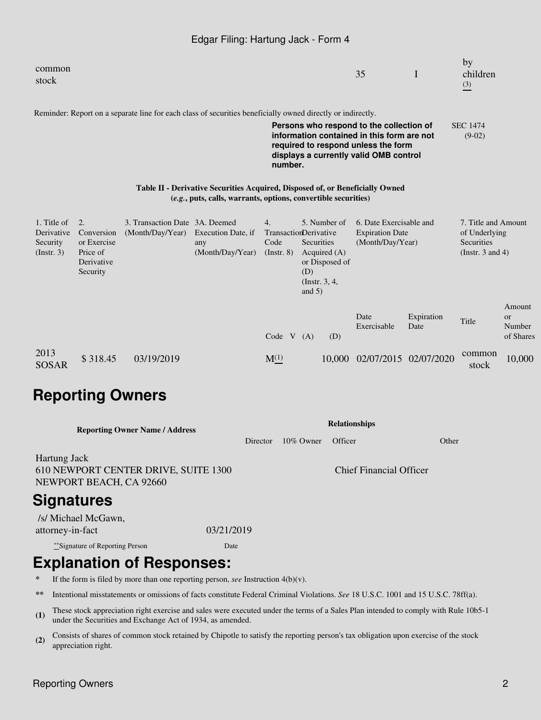#### Edgar Filing: Hartung Jack - Form 4

|                |   | by       |
|----------------|---|----------|
| $\Omega$<br>υJ | - | children |
|                |   | (3)      |
|                |   |          |

Reminder: Report on a separate line for each class of securities beneficially owned directly or indirectly.

**Persons who respond to the collection of information contained in this form are not required to respond unless the form displays a currently valid OMB control number.** SEC 1474 (9-02)

#### **Table II - Derivative Securities Acquired, Disposed of, or Beneficially Owned (***e.g.***, puts, calls, warrants, options, convertible securities)**

| 1. Title of  | $\overline{2}$ . | 3. Transaction Date 3A. Deemed |                    | 4.                           |            | 5. Number of    | 6. Date Exercisable and |            | 7. Title and Amount   |               |
|--------------|------------------|--------------------------------|--------------------|------------------------------|------------|-----------------|-------------------------|------------|-----------------------|---------------|
| Derivative   | Conversion       | (Month/Day/Year)               | Execution Date, if | <b>TransactionDerivative</b> |            |                 | <b>Expiration Date</b>  |            | of Underlying         |               |
| Security     | or Exercise      |                                | any                | Code                         | Securities |                 | (Month/Day/Year)        |            | Securities            |               |
| (Insert. 3)  | Price of         |                                | (Month/Day/Year)   | $($ Instr. $8)$              |            | Acquired $(A)$  |                         |            | (Instr. $3$ and $4$ ) |               |
|              | Derivative       |                                |                    |                              |            | or Disposed of  |                         |            |                       |               |
|              | Security         |                                |                    |                              | (D)        |                 |                         |            |                       |               |
|              |                  |                                |                    |                              |            | (Instr. $3, 4,$ |                         |            |                       |               |
|              |                  |                                |                    |                              | and $5)$   |                 |                         |            |                       |               |
|              |                  |                                |                    |                              |            |                 |                         |            |                       | Amount        |
|              |                  |                                |                    |                              |            |                 | Date                    | Expiration | Title                 | <sub>or</sub> |
|              |                  |                                |                    |                              |            |                 | Exercisable             | Date       |                       | Number        |
|              |                  |                                |                    | Code $V(A)$                  |            | (D)             |                         |            |                       | of Shares     |
| 2013         |                  |                                |                    |                              |            |                 |                         |            | common                |               |
|              | \$318.45         | 03/19/2019                     |                    | $M^{(1)}$                    |            | 10,000          | 02/07/2015 02/07/2020   |            |                       | 10,000        |
| <b>SOSAR</b> |                  |                                |                    |                              |            |                 |                         |            | stock                 |               |

## **Reporting Owners**

| <b>Reporting Owner Name / Address</b>                                           | <b>Relationships</b> |              |                                |       |  |  |  |  |
|---------------------------------------------------------------------------------|----------------------|--------------|--------------------------------|-------|--|--|--|--|
|                                                                                 | Director             | $10\%$ Owner | Officer                        | Other |  |  |  |  |
| Hartung Jack<br>610 NEWPORT CENTER DRIVE, SUITE 1300<br>NEWPORT BEACH, CA 92660 |                      |              | <b>Chief Financial Officer</b> |       |  |  |  |  |
| 85.                                                                             |                      |              |                                |       |  |  |  |  |

## **Signatures**

 /s/ Michael McGawn, attorney-in-fact 03/21/2019

\*\*Signature of Reporting Person Date

# **Explanation of Responses:**

**\*** If the form is filed by more than one reporting person, *see* Instruction 4(b)(v).

**\*\*** Intentional misstatements or omissions of facts constitute Federal Criminal Violations. *See* 18 U.S.C. 1001 and 15 U.S.C. 78ff(a).

(1) These stock appreciation right exercise and sales were executed under the terms of a Sales Plan intended to comply with Rule 10b5-1 under the Securities and Exchange Act of 1934, as amended.

**(2)** Consists of shares of common stock retained by Chipotle to satisfy the reporting person's tax obligation upon exercise of the stock appreciation right.